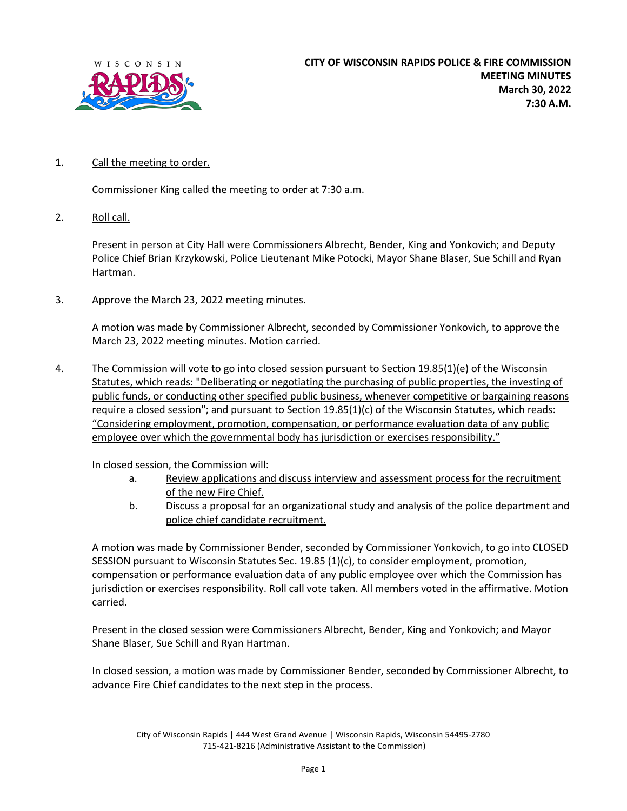

## 1. Call the meeting to order.

Commissioner King called the meeting to order at 7:30 a.m.

2. Roll call.

Present in person at City Hall were Commissioners Albrecht, Bender, King and Yonkovich; and Deputy Police Chief Brian Krzykowski, Police Lieutenant Mike Potocki, Mayor Shane Blaser, Sue Schill and Ryan Hartman.

3. Approve the March 23, 2022 meeting minutes.

A motion was made by Commissioner Albrecht, seconded by Commissioner Yonkovich, to approve the March 23, 2022 meeting minutes. Motion carried.

4. The Commission will vote to go into closed session pursuant to Section 19.85(1)(e) of the Wisconsin Statutes, which reads: "Deliberating or negotiating the purchasing of public properties, the investing of public funds, or conducting other specified public business, whenever competitive or bargaining reasons require a closed session"; and pursuant to Section 19.85(1)(c) of the Wisconsin Statutes, which reads: "Considering employment, promotion, compensation, or performance evaluation data of any public employee over which the governmental body has jurisdiction or exercises responsibility."

In closed session, the Commission will:

- a. Review applications and discuss interview and assessment process for the recruitment of the new Fire Chief.
- b. Discuss a proposal for an organizational study and analysis of the police department and police chief candidate recruitment.

A motion was made by Commissioner Bender, seconded by Commissioner Yonkovich, to go into CLOSED SESSION pursuant to Wisconsin Statutes Sec. 19.85 (1)(c), to consider employment, promotion, compensation or performance evaluation data of any public employee over which the Commission has jurisdiction or exercises responsibility. Roll call vote taken. All members voted in the affirmative. Motion carried.

Present in the closed session were Commissioners Albrecht, Bender, King and Yonkovich; and Mayor Shane Blaser, Sue Schill and Ryan Hartman.

In closed session, a motion was made by Commissioner Bender, seconded by Commissioner Albrecht, to advance Fire Chief candidates to the next step in the process.